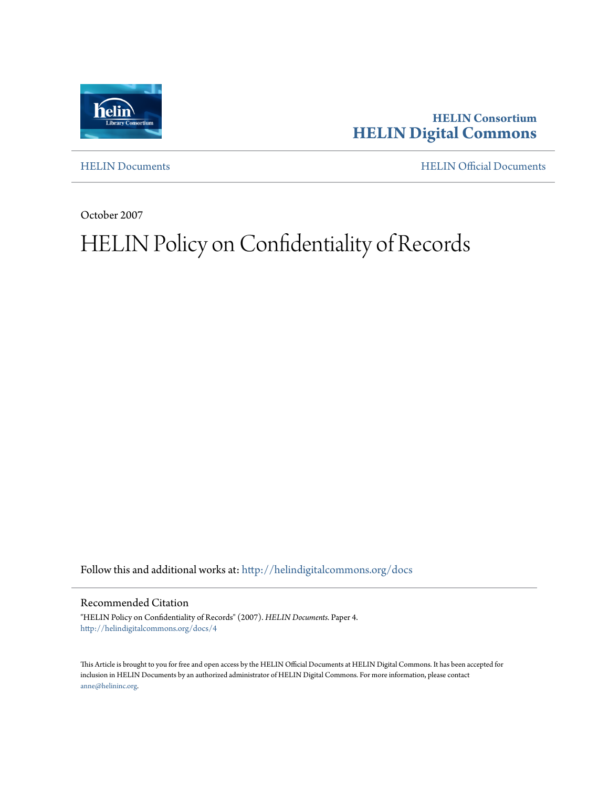

**HELIN Consortium [HELIN Digital Commons](http://helindigitalcommons.org?utm_source=helindigitalcommons.org%2Fdocs%2F4&utm_medium=PDF&utm_campaign=PDFCoverPages)**

[HELIN Documents](http://helindigitalcommons.org/docs?utm_source=helindigitalcommons.org%2Fdocs%2F4&utm_medium=PDF&utm_campaign=PDFCoverPages) [HELIN Official Documents](http://helindigitalcommons.org/documents?utm_source=helindigitalcommons.org%2Fdocs%2F4&utm_medium=PDF&utm_campaign=PDFCoverPages)

October 2007

## HELIN Policy on Confidentiality of Records

Follow this and additional works at: [http://helindigitalcommons.org/docs](http://helindigitalcommons.org/docs?utm_source=helindigitalcommons.org%2Fdocs%2F4&utm_medium=PDF&utm_campaign=PDFCoverPages)

## Recommended Citation

"HELIN Policy on Confidentiality of Records" (2007). *HELIN Documents.* Paper 4. [http://helindigitalcommons.org/docs/4](http://helindigitalcommons.org/docs/4?utm_source=helindigitalcommons.org%2Fdocs%2F4&utm_medium=PDF&utm_campaign=PDFCoverPages)

This Article is brought to you for free and open access by the HELIN Official Documents at HELIN Digital Commons. It has been accepted for inclusion in HELIN Documents by an authorized administrator of HELIN Digital Commons. For more information, please contact [anne@helininc.org.](mailto:anne@helininc.org)